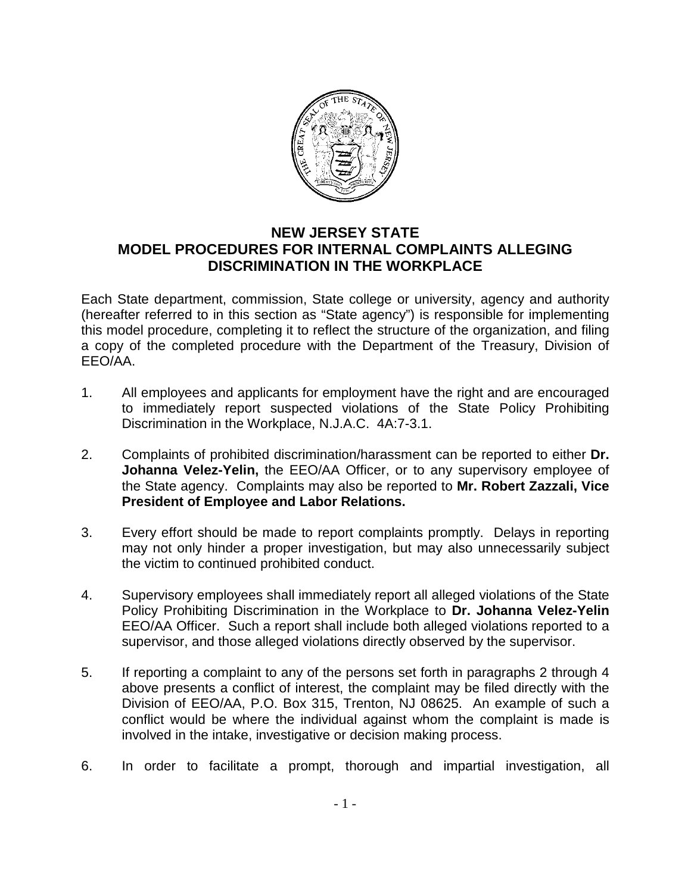

## **NEW JERSEY STATE MODEL PROCEDURES FOR INTERNAL COMPLAINTS ALLEGING DISCRIMINATION IN THE WORKPLACE**

Each State department, commission, State college or university, agency and authority (hereafter referred to in this section as "State agency") is responsible for implementing this model procedure, completing it to reflect the structure of the organization, and filing a copy of the completed procedure with the Department of the Treasury, Division of EEO/AA.

- 1. All employees and applicants for employment have the right and are encouraged to immediately report suspected violations of the State Policy Prohibiting Discrimination in the Workplace, N.J.A.C. 4A:7-3.1.
- 2. Complaints of prohibited discrimination/harassment can be reported to either **Dr. Johanna Velez-Yelin,** the EEO/AA Officer, or to any supervisory employee of the State agency. Complaints may also be reported to **Mr. Robert Zazzali, Vice President of Employee and Labor Relations.**
- 3. Every effort should be made to report complaints promptly. Delays in reporting may not only hinder a proper investigation, but may also unnecessarily subject the victim to continued prohibited conduct.
- 4. Supervisory employees shall immediately report all alleged violations of the State Policy Prohibiting Discrimination in the Workplace to **Dr. Johanna Velez-Yelin**  EEO/AA Officer. Such a report shall include both alleged violations reported to a supervisor, and those alleged violations directly observed by the supervisor.
- 5. If reporting a complaint to any of the persons set forth in paragraphs 2 through 4 above presents a conflict of interest, the complaint may be filed directly with the Division of EEO/AA, P.O. Box 315, Trenton, NJ 08625. An example of such a conflict would be where the individual against whom the complaint is made is involved in the intake, investigative or decision making process.
- 6. In order to facilitate a prompt, thorough and impartial investigation, all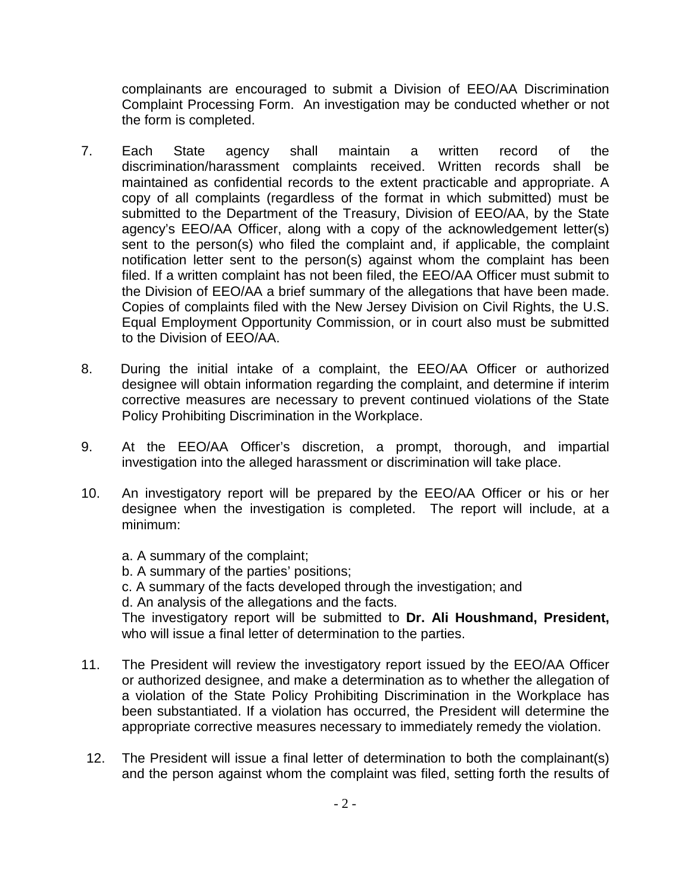complainants are encouraged to submit a Division of EEO/AA Discrimination Complaint Processing Form. An investigation may be conducted whether or not the form is completed.

- 7. Each State agency shall maintain a written record of the discrimination/harassment complaints received. Written records shall be maintained as confidential records to the extent practicable and appropriate. A copy of all complaints (regardless of the format in which submitted) must be submitted to the Department of the Treasury, Division of EEO/AA, by the State agency's EEO/AA Officer, along with a copy of the acknowledgement letter(s) sent to the person(s) who filed the complaint and, if applicable, the complaint notification letter sent to the person(s) against whom the complaint has been filed. If a written complaint has not been filed, the EEO/AA Officer must submit to the Division of EEO/AA a brief summary of the allegations that have been made. Copies of complaints filed with the New Jersey Division on Civil Rights, the U.S. Equal Employment Opportunity Commission, or in court also must be submitted to the Division of EEO/AA.
- 8. During the initial intake of a complaint, the EEO/AA Officer or authorized designee will obtain information regarding the complaint, and determine if interim corrective measures are necessary to prevent continued violations of the State Policy Prohibiting Discrimination in the Workplace.
- 9. At the EEO/AA Officer's discretion, a prompt, thorough, and impartial investigation into the alleged harassment or discrimination will take place.
- 10. An investigatory report will be prepared by the EEO/AA Officer or his or her designee when the investigation is completed. The report will include, at a minimum:

a. A summary of the complaint; b. A summary of the parties' positions; c. A summary of the facts developed through the investigation; and d. An analysis of the allegations and the facts. The investigatory report will be submitted to **Dr. Ali Houshmand, President,** who will issue a final letter of determination to the parties.

- 11. The President will review the investigatory report issued by the EEO/AA Officer or authorized designee, and make a determination as to whether the allegation of a violation of the State Policy Prohibiting Discrimination in the Workplace has been substantiated. If a violation has occurred, the President will determine the appropriate corrective measures necessary to immediately remedy the violation.
- 12. The President will issue a final letter of determination to both the complainant(s) and the person against whom the complaint was filed, setting forth the results of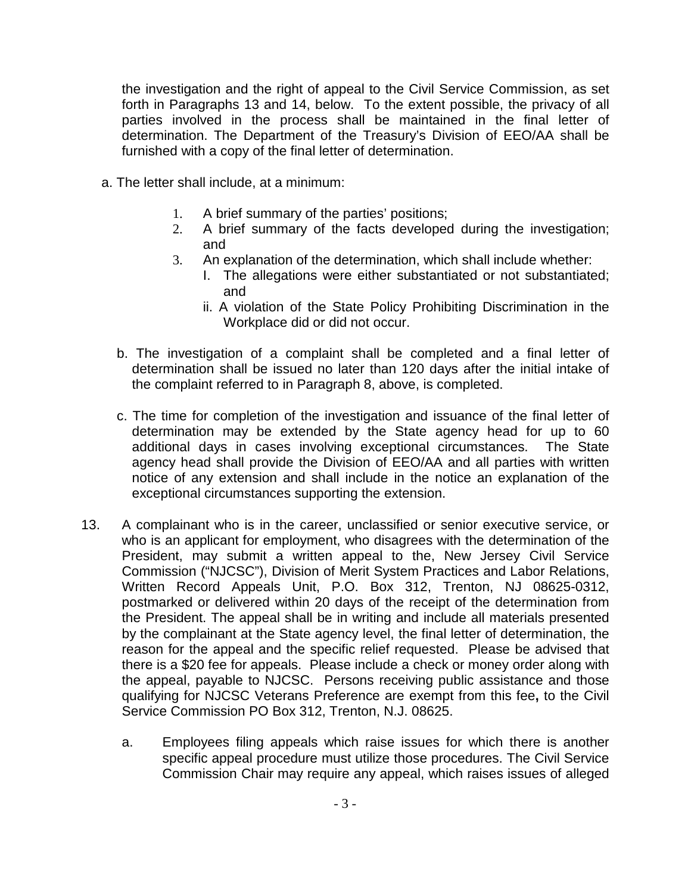the investigation and the right of appeal to the Civil Service Commission, as set forth in Paragraphs 13 and 14, below. To the extent possible, the privacy of all parties involved in the process shall be maintained in the final letter of determination. The Department of the Treasury's Division of EEO/AA shall be furnished with a copy of the final letter of determination.

- a. The letter shall include, at a minimum:
	- 1. A brief summary of the parties' positions;
	- 2. A brief summary of the facts developed during the investigation; and
	- 3. An explanation of the determination, which shall include whether:
		- I. The allegations were either substantiated or not substantiated; and
		- ii. A violation of the State Policy Prohibiting Discrimination in the Workplace did or did not occur.
	- b. The investigation of a complaint shall be completed and a final letter of determination shall be issued no later than 120 days after the initial intake of the complaint referred to in Paragraph 8, above, is completed.
	- c. The time for completion of the investigation and issuance of the final letter of determination may be extended by the State agency head for up to 60 additional days in cases involving exceptional circumstances. The State agency head shall provide the Division of EEO/AA and all parties with written notice of any extension and shall include in the notice an explanation of the exceptional circumstances supporting the extension.
- 13. A complainant who is in the career, unclassified or senior executive service, or who is an applicant for employment, who disagrees with the determination of the President, may submit a written appeal to the, New Jersey Civil Service Commission ("NJCSC"), Division of Merit System Practices and Labor Relations, Written Record Appeals Unit, P.O. Box 312, Trenton, NJ 08625-0312, postmarked or delivered within 20 days of the receipt of the determination from the President. The appeal shall be in writing and include all materials presented by the complainant at the State agency level, the final letter of determination, the reason for the appeal and the specific relief requested. Please be advised that there is a \$20 fee for appeals. Please include a check or money order along with the appeal, payable to NJCSC. Persons receiving public assistance and those qualifying for NJCSC Veterans Preference are exempt from this fee**,** to the Civil Service Commission PO Box 312, Trenton, N.J. 08625.
	- a. Employees filing appeals which raise issues for which there is another specific appeal procedure must utilize those procedures. The Civil Service Commission Chair may require any appeal, which raises issues of alleged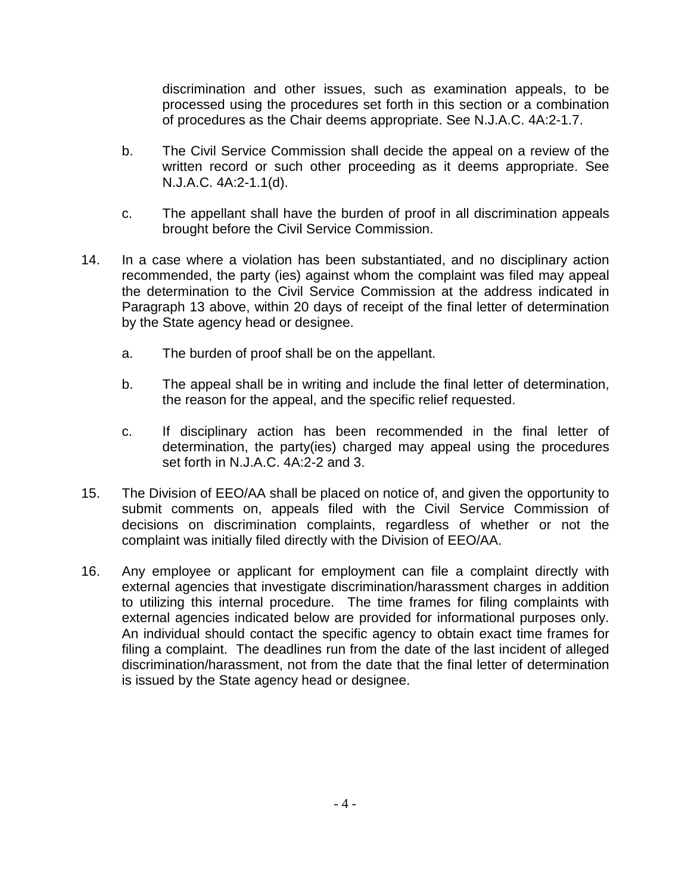discrimination and other issues, such as examination appeals, to be processed using the procedures set forth in this section or a combination of procedures as the Chair deems appropriate. See N.J.A.C. 4A:2-1.7.

- b. The Civil Service Commission shall decide the appeal on a review of the written record or such other proceeding as it deems appropriate. See N.J.A.C. 4A:2-1.1(d).
- c. The appellant shall have the burden of proof in all discrimination appeals brought before the Civil Service Commission.
- 14. In a case where a violation has been substantiated, and no disciplinary action recommended, the party (ies) against whom the complaint was filed may appeal the determination to the Civil Service Commission at the address indicated in Paragraph 13 above, within 20 days of receipt of the final letter of determination by the State agency head or designee.
	- a. The burden of proof shall be on the appellant.
	- b. The appeal shall be in writing and include the final letter of determination, the reason for the appeal, and the specific relief requested.
	- c. If disciplinary action has been recommended in the final letter of determination, the party(ies) charged may appeal using the procedures set forth in N.J.A.C. 4A:2-2 and 3.
- 15. The Division of EEO/AA shall be placed on notice of, and given the opportunity to submit comments on, appeals filed with the Civil Service Commission of decisions on discrimination complaints, regardless of whether or not the complaint was initially filed directly with the Division of EEO/AA.
- 16. Any employee or applicant for employment can file a complaint directly with external agencies that investigate discrimination/harassment charges in addition to utilizing this internal procedure. The time frames for filing complaints with external agencies indicated below are provided for informational purposes only. An individual should contact the specific agency to obtain exact time frames for filing a complaint. The deadlines run from the date of the last incident of alleged discrimination/harassment, not from the date that the final letter of determination is issued by the State agency head or designee.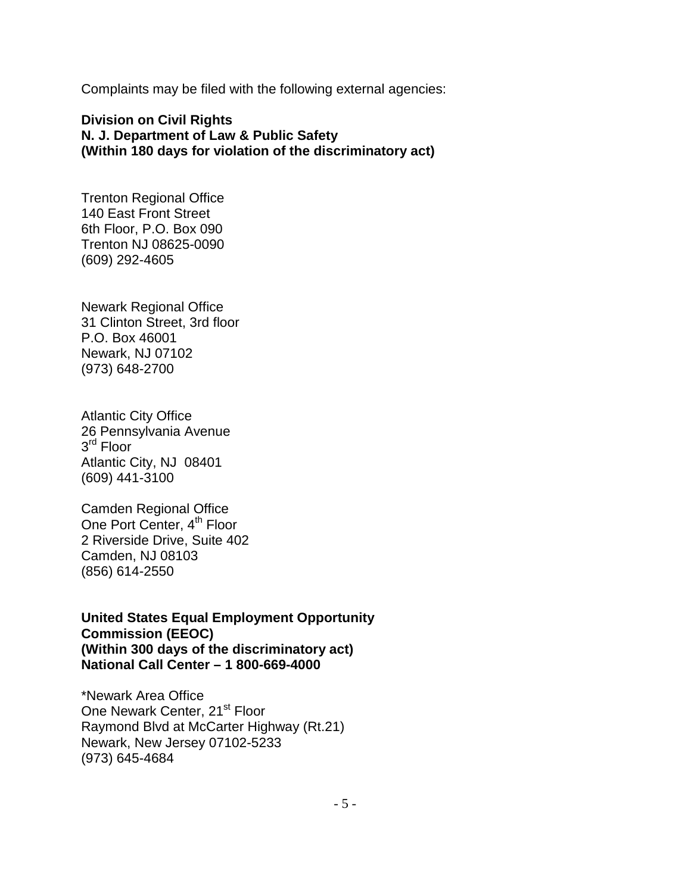Complaints may be filed with the following external agencies:

**Division on Civil Rights N. J. Department of Law & Public Safety (Within 180 days for violation of the discriminatory act)**

Trenton Regional Office 140 East Front Street 6th Floor, P.O. Box 090 Trenton NJ 08625-0090 (609) 292-4605

Newark Regional Office 31 Clinton Street, 3rd floor P.O. Box 46001 Newark, NJ 07102 (973) 648-2700

Atlantic City Office 26 Pennsylvania Avenue 3<sup>rd</sup> Floor Atlantic City, NJ 08401 (609) 441-3100

Camden Regional Office One Port Center, 4<sup>th</sup> Floor 2 Riverside Drive, Suite 402 Camden, NJ 08103 (856) 614-2550

**United States Equal Employment Opportunity Commission (EEOC) (Within 300 days of the discriminatory act) National Call Center – 1 800-669-4000**

\*Newark Area Office One Newark Center, 21<sup>st</sup> Floor Raymond Blvd at McCarter Highway (Rt.21) Newark, New Jersey 07102-5233 (973) 645-4684